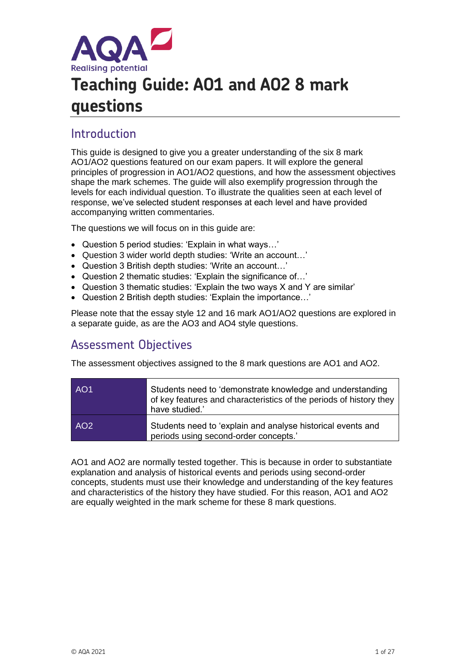

# **Teaching Guide: AO1 and AO2 8 mark questions**

# Introduction

This guide is designed to give you a greater understanding of the six 8 mark AO1/AO2 questions featured on our exam papers. It will explore the general principles of progression in AO1/AO2 questions, and how the assessment objectives shape the mark schemes. The guide will also exemplify progression through the levels for each individual question. To illustrate the qualities seen at each level of response, we've selected student responses at each level and have provided accompanying written commentaries.

The questions we will focus on in this guide are:

- Question 5 period studies: 'Explain in what ways…'
- Question 3 wider world depth studies: 'Write an account…'
- Question 3 British depth studies: 'Write an account…'
- Question 2 thematic studies: 'Explain the significance of…'
- Question 3 thematic studies: 'Explain the two ways X and Y are similar'
- Question 2 British depth studies: 'Explain the importance…'

Please note that the essay style 12 and 16 mark AO1/AO2 questions are explored in a separate guide, as are the AO3 and AO4 style questions.

### Assessment Objectives

The assessment objectives assigned to the 8 mark questions are AO1 and AO2.

| AO <sub>1</sub> | Students need to 'demonstrate knowledge and understanding<br>of key features and characteristics of the periods of history they<br>have studied.' |
|-----------------|---------------------------------------------------------------------------------------------------------------------------------------------------|
| AO <sub>2</sub> | Students need to 'explain and analyse historical events and<br>periods using second-order concepts.'                                              |

AO1 and AO2 are normally tested together. This is because in order to substantiate explanation and analysis of historical events and periods using second-order concepts, students must use their knowledge and understanding of the key features and characteristics of the history they have studied. For this reason, AO1 and AO2 are equally weighted in the mark scheme for these 8 mark questions.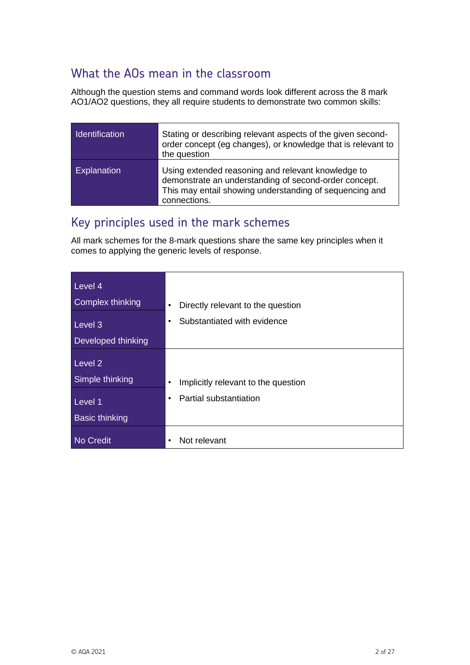# What the AOs mean in the classroom

Although the question stems and command words look different across the 8 mark AO1/AO2 questions, they all require students to demonstrate two common skills:

| <b>Identification</b> | Stating or describing relevant aspects of the given second-<br>order concept (eg changes), or knowledge that is relevant to<br>the question                                            |
|-----------------------|----------------------------------------------------------------------------------------------------------------------------------------------------------------------------------------|
| <b>Explanation</b>    | Using extended reasoning and relevant knowledge to<br>demonstrate an understanding of second-order concept.<br>This may entail showing understanding of sequencing and<br>connections. |

# Key principles used in the mark schemes

All mark schemes for the 8-mark questions share the same key principles when it comes to applying the generic levels of response.

| Level 4<br>Complex thinking | Directly relevant to the question<br>$\bullet$   |
|-----------------------------|--------------------------------------------------|
| Level 3                     | Substantiated with evidence<br>$\bullet$         |
| Developed thinking          |                                                  |
| Level 2<br>Simple thinking  | Implicitly relevant to the question<br>$\bullet$ |
| Level 1                     | Partial substantiation<br>٠                      |
| <b>Basic thinking</b>       |                                                  |
| <b>No Credit</b>            | Not relevant<br>٠                                |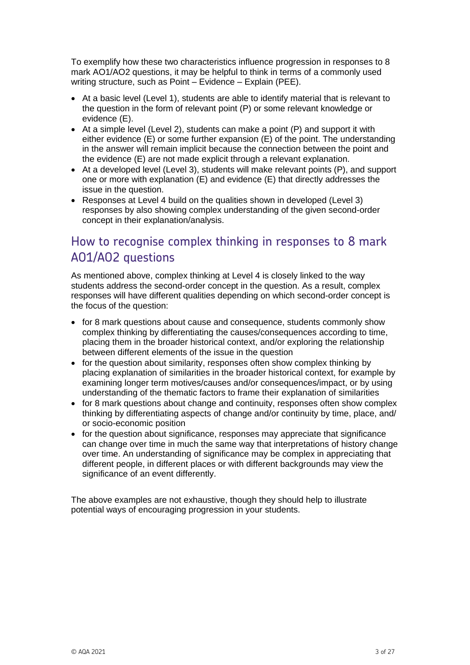To exemplify how these two characteristics influence progression in responses to 8 mark AO1/AO2 questions, it may be helpful to think in terms of a commonly used writing structure, such as Point – Evidence – Explain (PEE).

- At a basic level (Level 1), students are able to identify material that is relevant to the question in the form of relevant point (P) or some relevant knowledge or evidence (E).
- At a simple level (Level 2), students can make a point (P) and support it with either evidence (E) or some further expansion (E) of the point. The understanding in the answer will remain implicit because the connection between the point and the evidence (E) are not made explicit through a relevant explanation.
- At a developed level (Level 3), students will make relevant points (P), and support one or more with explanation (E) and evidence (E) that directly addresses the issue in the question.
- Responses at Level 4 build on the qualities shown in developed (Level 3) responses by also showing complex understanding of the given second-order concept in their explanation/analysis.

# How to recognise complex thinking in responses to 8 mark AO1/AO2 questions

As mentioned above, complex thinking at Level 4 is closely linked to the way students address the second-order concept in the question. As a result, complex responses will have different qualities depending on which second-order concept is the focus of the question:

- for 8 mark questions about cause and consequence, students commonly show complex thinking by differentiating the causes/consequences according to time, placing them in the broader historical context, and/or exploring the relationship between different elements of the issue in the question
- for the question about similarity, responses often show complex thinking by placing explanation of similarities in the broader historical context, for example by examining longer term motives/causes and/or consequences/impact, or by using understanding of the thematic factors to frame their explanation of similarities
- for 8 mark questions about change and continuity, responses often show complex thinking by differentiating aspects of change and/or continuity by time, place, and/ or socio-economic position
- for the question about significance, responses may appreciate that significance can change over time in much the same way that interpretations of history change over time. An understanding of significance may be complex in appreciating that different people, in different places or with different backgrounds may view the significance of an event differently.

The above examples are not exhaustive, though they should help to illustrate potential ways of encouraging progression in your students.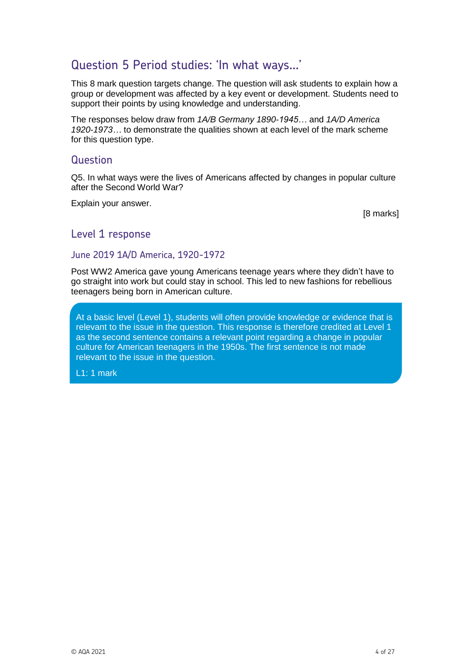# Question 5 Period studies: 'In what ways…'

This 8 mark question targets change. The question will ask students to explain how a group or development was affected by a key event or development. Students need to support their points by using knowledge and understanding.

The responses below draw from *1A/B Germany 1890-1945…* and *1A/D America 1920-1973…* to demonstrate the qualities shown at each level of the mark scheme for this question type.

#### Question

Q5. In what ways were the lives of Americans affected by changes in popular culture after the Second World War?

Explain your answer.

[8 marks]

#### Level 1 response

#### June 2019 1A/D America, 1920-1972

Post WW2 America gave young Americans teenage years where they didn't have to go straight into work but could stay in school. This led to new fashions for rebellious teenagers being born in American culture.

At a basic level (Level 1), students will often provide knowledge or evidence that is relevant to the issue in the question. This response is therefore credited at Level 1 as the second sentence contains a relevant point regarding a change in popular culture for American teenagers in the 1950s. The first sentence is not made relevant to the issue in the question.

L1: 1 mark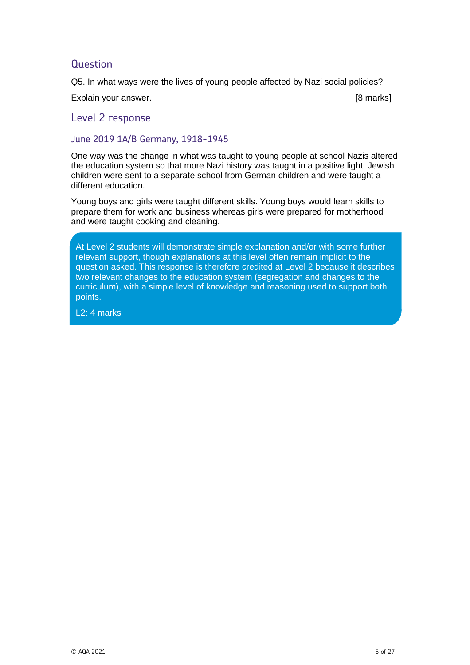Q5. In what ways were the lives of young people affected by Nazi social policies?

Explain your answer. [8 marks]

#### Level 2 response

#### June 2019 1A/B Germany, 1918-1945

One way was the change in what was taught to young people at school Nazis altered the education system so that more Nazi history was taught in a positive light. Jewish children were sent to a separate school from German children and were taught a different education.

Young boys and girls were taught different skills. Young boys would learn skills to prepare them for work and business whereas girls were prepared for motherhood and were taught cooking and cleaning.

At Level 2 students will demonstrate simple explanation and/or with some further relevant support, though explanations at this level often remain implicit to the question asked. This response is therefore credited at Level 2 because it describes two relevant changes to the education system (segregation and changes to the curriculum), with a simple level of knowledge and reasoning used to support both points.

L2: 4 marks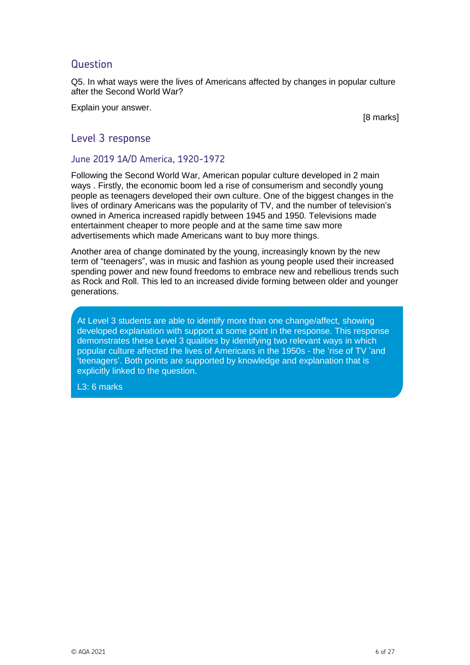Q5. In what ways were the lives of Americans affected by changes in popular culture after the Second World War?

Explain your answer.

[8 marks]

#### Level 3 response

#### June 2019 1A/D America, 1920-1972

Following the Second World War, American popular culture developed in 2 main ways . Firstly, the economic boom led a rise of consumerism and secondly young people as teenagers developed their own culture. One of the biggest changes in the lives of ordinary Americans was the popularity of TV, and the number of television's owned in America increased rapidly between 1945 and 1950. Televisions made entertainment cheaper to more people and at the same time saw more advertisements which made Americans want to buy more things.

Another area of change dominated by the young, increasingly known by the new term of "teenagers", was in music and fashion as young people used their increased spending power and new found freedoms to embrace new and rebellious trends such as Rock and Roll. This led to an increased divide forming between older and younger generations.

At Level 3 students are able to identify more than one change/affect, showing developed explanation with support at some point in the response. This response demonstrates these Level 3 qualities by identifying two relevant ways in which popular culture affected the lives of Americans in the 1950s - the 'rise of TV 'and 'teenagers'. Both points are supported by knowledge and explanation that is explicitly linked to the question.

L3: 6 marks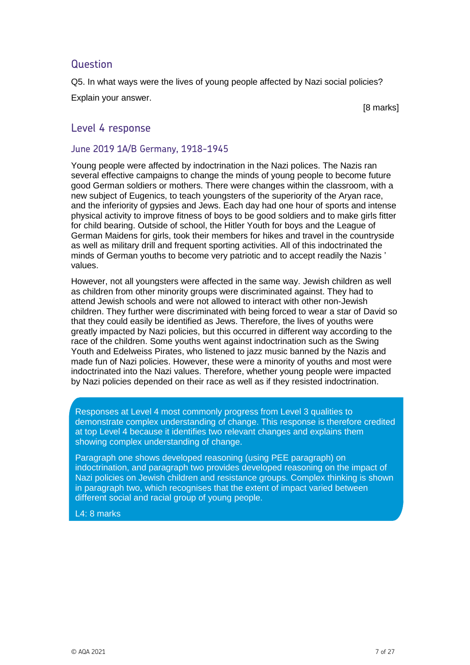Q5. In what ways were the lives of young people affected by Nazi social policies? Explain your answer.

[8 marks]

#### Level 4 response

#### June 2019 1A/B Germany, 1918-1945

Young people were affected by indoctrination in the Nazi polices. The Nazis ran several effective campaigns to change the minds of young people to become future good German soldiers or mothers. There were changes within the classroom, with a new subject of Eugenics, to teach youngsters of the superiority of the Aryan race, and the inferiority of gypsies and Jews. Each day had one hour of sports and intense physical activity to improve fitness of boys to be good soldiers and to make girls fitter for child bearing. Outside of school, the Hitler Youth for boys and the League of German Maidens for girls, took their members for hikes and travel in the countryside as well as military drill and frequent sporting activities. All of this indoctrinated the minds of German youths to become very patriotic and to accept readily the Nazis ' values.

However, not all youngsters were affected in the same way. Jewish children as well as children from other minority groups were discriminated against. They had to attend Jewish schools and were not allowed to interact with other non-Jewish children. They further were discriminated with being forced to wear a star of David so that they could easily be identified as Jews. Therefore, the lives of youths were greatly impacted by Nazi policies, but this occurred in different way according to the race of the children. Some youths went against indoctrination such as the Swing Youth and Edelweiss Pirates, who listened to jazz music banned by the Nazis and made fun of Nazi policies. However, these were a minority of youths and most were indoctrinated into the Nazi values. Therefore, whether young people were impacted by Nazi policies depended on their race as well as if they resisted indoctrination.

Responses at Level 4 most commonly progress from Level 3 qualities to demonstrate complex understanding of change. This response is therefore credited at top Level 4 because it identifies two relevant changes and explains them showing complex understanding of change.

Paragraph one shows developed reasoning (using PEE paragraph) on indoctrination, and paragraph two provides developed reasoning on the impact of Nazi policies on Jewish children and resistance groups. Complex thinking is shown in paragraph two, which recognises that the extent of impact varied between different social and racial group of young people.

L4: 8 marks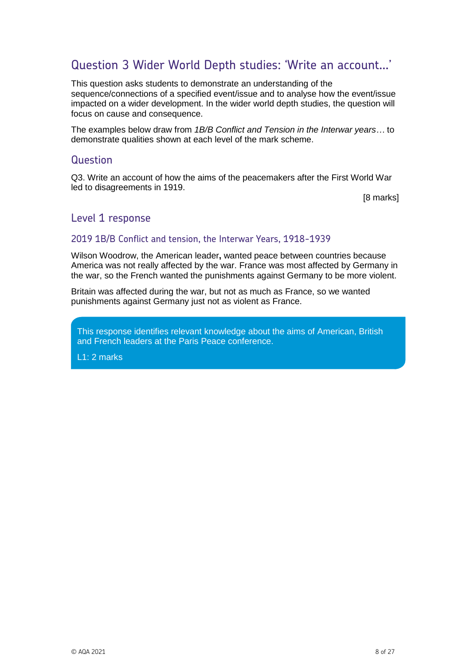### Question 3 Wider World Depth studies: 'Write an account…'

This question asks students to demonstrate an understanding of the sequence/connections of a specified event/issue and to analyse how the event/issue impacted on a wider development. In the wider world depth studies, the question will focus on cause and consequence.

The examples below draw from *1B/B Conflict and Tension in the Interwar years…* to demonstrate qualities shown at each level of the mark scheme.

#### Question

Q3. Write an account of how the aims of the peacemakers after the First World War led to disagreements in 1919.

[8 marks]

#### Level 1 response

#### 2019 1B/B Conflict and tension, the Interwar Years, 1918-1939

Wilson Woodrow, the American leader**,** wanted peace between countries because America was not really affected by the war. France was most affected by Germany in the war, so the French wanted the punishments against Germany to be more violent.

Britain was affected during the war, but not as much as France, so we wanted punishments against Germany just not as violent as France.

This response identifies relevant knowledge about the aims of American, British and French leaders at the Paris Peace conference.

L1: 2 marks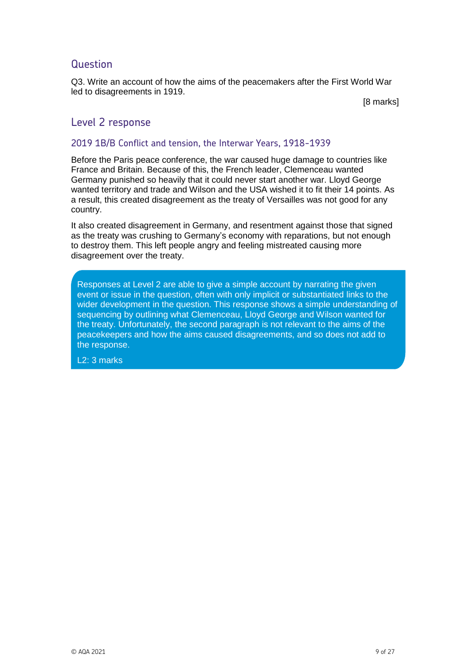Q3. Write an account of how the aims of the peacemakers after the First World War led to disagreements in 1919.

[8 marks]

#### Level 2 response

#### 2019 1B/B Conflict and tension, the Interwar Years, 1918-1939

Before the Paris peace conference, the war caused huge damage to countries like France and Britain. Because of this, the French leader, Clemenceau wanted Germany punished so heavily that it could never start another war. Lloyd George wanted territory and trade and Wilson and the USA wished it to fit their 14 points. As a result, this created disagreement as the treaty of Versailles was not good for any country.

It also created disagreement in Germany, and resentment against those that signed as the treaty was crushing to Germany's economy with reparations, but not enough to destroy them. This left people angry and feeling mistreated causing more disagreement over the treaty.

Commentary the treaty. Unfortunately, the second paragraph is not relevant to the aims of the Responses at Level 2 are able to give a simple account by narrating the given event or issue in the question, often with only implicit or substantiated links to the wider development in the question. This response shows a simple understanding of sequencing by outlining what Clemenceau, Lloyd George and Wilson wanted for peacekeepers and how the aims caused disagreements, and so does not add to the response.

L2: 3 marks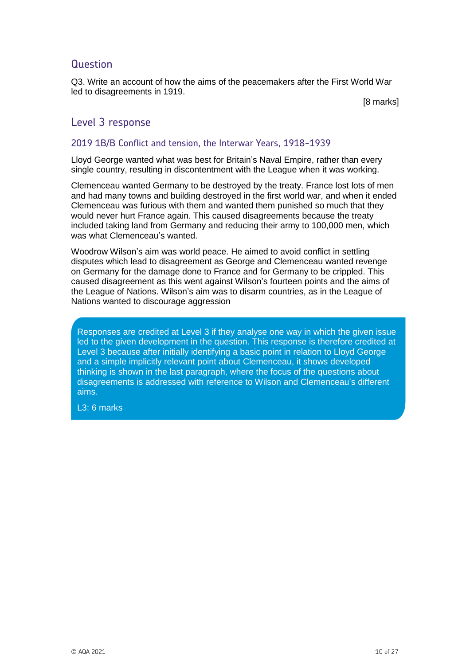Q3. Write an account of how the aims of the peacemakers after the First World War led to disagreements in 1919.

[8 marks]

#### Level 3 response

#### 2019 1B/B Conflict and tension, the Interwar Years, 1918-1939

Lloyd George wanted what was best for Britain's Naval Empire, rather than every single country, resulting in discontentment with the League when it was working.

Clemenceau wanted Germany to be destroyed by the treaty. France lost lots of men and had many towns and building destroyed in the first world war, and when it ended Clemenceau was furious with them and wanted them punished so much that they would never hurt France again. This caused disagreements because the treaty included taking land from Germany and reducing their army to 100,000 men, which was what Clemenceau's wanted.

Woodrow Wilson's aim was world peace. He aimed to avoid conflict in settling disputes which lead to disagreement as George and Clemenceau wanted revenge on Germany for the damage done to France and for Germany to be crippled. This caused disagreement as this went against Wilson's fourteen points and the aims of the League of Nations. Wilson's aim was to disarm countries, as in the League of Nations wanted to discourage aggression

Responses are credited at Level 3 if they analyse one way in which the given issue led to the given development in the question. This response is therefore credited at Level 3 because after initially identifying a basic point in relation to Lloyd George and a simple implicitly relevant point about Clemenceau, it shows developed thinking is shown in the last paragraph, where the focus of the questions about disagreements is addressed with reference to Wilson and Clemenceau's different aims.

L3: 6 marks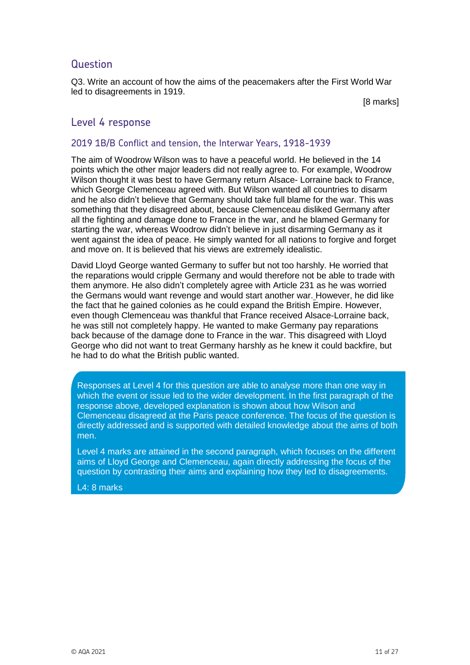Q3. Write an account of how the aims of the peacemakers after the First World War led to disagreements in 1919.

[8 marks]

#### Level 4 response

#### 2019 1B/B Conflict and tension, the Interwar Years, 1918-1939

The aim of Woodrow Wilson was to have a peaceful world. He believed in the 14 points which the other major leaders did not really agree to. For example, Woodrow Wilson thought it was best to have Germany return Alsace- Lorraine back to France, which George Clemenceau agreed with. But Wilson wanted all countries to disarm and he also didn't believe that Germany should take full blame for the war. This was something that they disagreed about, because Clemenceau disliked Germany after all the fighting and damage done to France in the war, and he blamed Germany for starting the war, whereas Woodrow didn't believe in just disarming Germany as it went against the idea of peace. He simply wanted for all nations to forgive and forget and move on. It is believed that his views are extremely idealistic.

David Lloyd George wanted Germany to suffer but not too harshly. He worried that the reparations would cripple Germany and would therefore not be able to trade with them anymore. He also didn't completely agree with Article 231 as he was worried the Germans would want revenge and would start another war. However, he did like the fact that he gained colonies as he could expand the British Empire. However, even though Clemenceau was thankful that France received Alsace-Lorraine back, he was still not completely happy. He wanted to make Germany pay reparations back because of the damage done to France in the war. This disagreed with Lloyd George who did not want to treat Germany harshly as he knew it could backfire, but he had to do what the British public wanted.

Responses at Level 4 for this question are able to analyse more than one way in which the event or issue led to the wider development. In the first paragraph of the response above, developed explanation is shown about how Wilson and Clemenceau disagreed at the Paris peace conference. The focus of the question is directly addressed and is supported with detailed knowledge about the aims of both men.

Level 4 marks are attained in the second paragraph, which focuses on the different aims of Lloyd George and Clemenceau, again directly addressing the focus of the question by contrasting their aims and explaining how they led to disagreements.

L4: 8 marks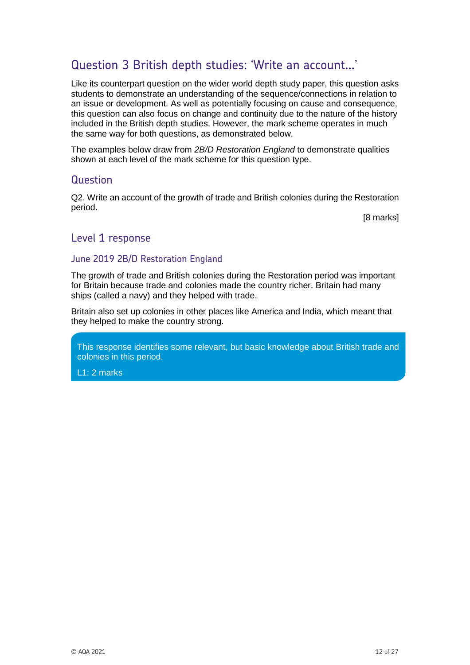## Question 3 British depth studies: 'Write an account…'

Like its counterpart question on the wider world depth study paper, this question asks students to demonstrate an understanding of the sequence/connections in relation to an issue or development. As well as potentially focusing on cause and consequence, this question can also focus on change and continuity due to the nature of the history included in the British depth studies. However, the mark scheme operates in much the same way for both questions, as demonstrated below.

The examples below draw from *2B/D Restoration England* to demonstrate qualities shown at each level of the mark scheme for this question type.

#### Question

Q2. Write an account of the growth of trade and British colonies during the Restoration period.

[8 marks]

#### Level 1 response

#### June 2019 2B/D Restoration England

The growth of trade and British colonies during the Restoration period was important for Britain because trade and colonies made the country richer. Britain had many ships (called a navy) and they helped with trade.

Britain also set up colonies in other places like America and India, which meant that they helped to make the country strong.

This response identifies some relevant, but basic knowledge about British trade and colonies in this period.

L1: 2 marks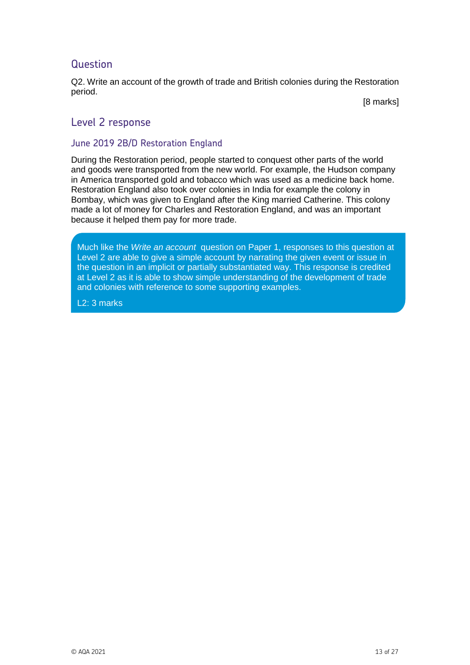Q2. Write an account of the growth of trade and British colonies during the Restoration period.

[8 marks]

#### Level 2 response

#### June 2019 2B/D Restoration England

During the Restoration period, people started to conquest other parts of the world and goods were transported from the new world. For example, the Hudson company in America transported gold and tobacco which was used as a medicine back home. Restoration England also took over colonies in India for example the colony in Bombay, which was given to England after the King married Catherine. This colony made a lot of money for Charles and Restoration England, and was an important because it helped them pay for more trade.

at Level 2 as it is able to show simple understanding of the development of trade and colonies with reference to some supporting examples. Much like the *Write an account* question on Paper 1, responses to this question at Level 2 are able to give a simple account by narrating the given event or issue in the question in an implicit or partially substantiated way. This response is credited

L2: 3 marks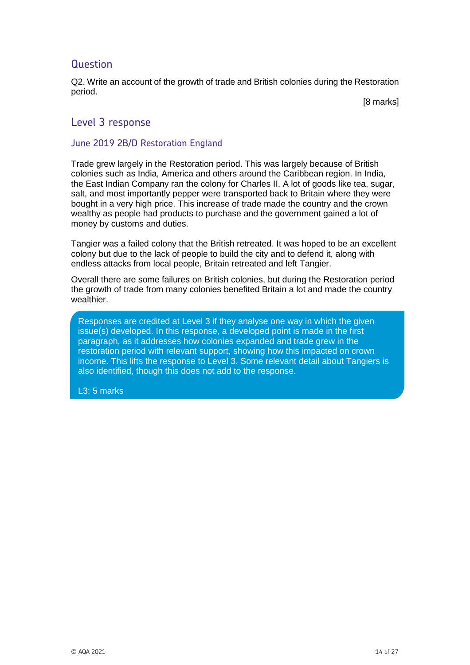Q2. Write an account of the growth of trade and British colonies during the Restoration period.

[8 marks]

#### Level 3 response

#### June 2019 2B/D Restoration England

Trade grew largely in the Restoration period. This was largely because of British colonies such as India, America and others around the Caribbean region. In India, the East Indian Company ran the colony for Charles II. A lot of goods like tea, sugar, salt, and most importantly pepper were transported back to Britain where they were bought in a very high price. This increase of trade made the country and the crown wealthy as people had products to purchase and the government gained a lot of money by customs and duties.

Tangier was a failed colony that the British retreated. It was hoped to be an excellent colony but due to the lack of people to build the city and to defend it, along with endless attacks from local people, Britain retreated and left Tangier.

Overall there are some failures on British colonies, but during the Restoration period the growth of trade from many colonies benefited Britain a lot and made the country wealthier.

Responses are credited at Level 3 if they analyse one way in which the given issue(s) developed. In this response, a developed point is made in the first paragraph, as it addresses how colonies expanded and trade grew in the restoration period with relevant support, showing how this impacted on crown income. This lifts the response to Level 3. Some relevant detail about Tangiers is also identified, though this does not add to the response.

L3: 5 marks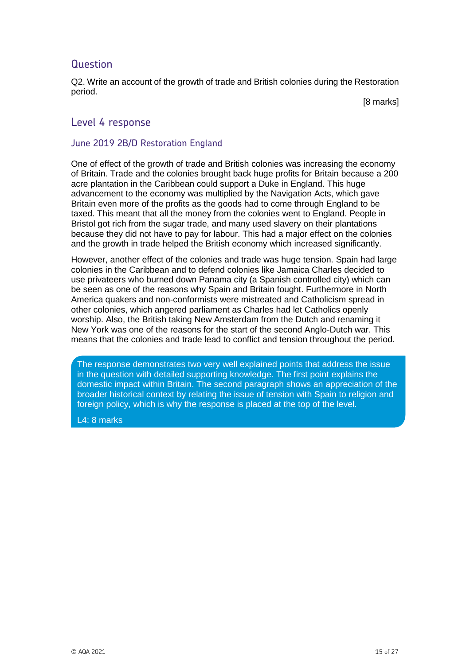Q2. Write an account of the growth of trade and British colonies during the Restoration period.

[8 marks]

#### Level 4 response

#### June 2019 2B/D Restoration England

One of effect of the growth of trade and British colonies was increasing the economy of Britain. Trade and the colonies brought back huge profits for Britain because a 200 acre plantation in the Caribbean could support a Duke in England. This huge advancement to the economy was multiplied by the Navigation Acts, which gave Britain even more of the profits as the goods had to come through England to be taxed. This meant that all the money from the colonies went to England. People in Bristol got rich from the sugar trade, and many used slavery on their plantations because they did not have to pay for labour. This had a major effect on the colonies and the growth in trade helped the British economy which increased significantly.

However, another effect of the colonies and trade was huge tension. Spain had large colonies in the Caribbean and to defend colonies like Jamaica Charles decided to use privateers who burned down Panama city (a Spanish controlled city) which can be seen as one of the reasons why Spain and Britain fought. Furthermore in North America quakers and non-conformists were mistreated and Catholicism spread in other colonies, which angered parliament as Charles had let Catholics openly worship. Also, the British taking New Amsterdam from the Dutch and renaming it New York was one of the reasons for the start of the second Anglo-Dutch war. This means that the colonies and trade lead to conflict and tension throughout the period.

The response demonstrates two very well explained points that address the issue in the question with detailed supporting knowledge. The first point explains the domestic impact within Britain. The second paragraph shows an appreciation of the broader historical context by relating the issue of tension with Spain to religion and foreign policy, which is why the response is placed at the top of the level.

L4: 8 marks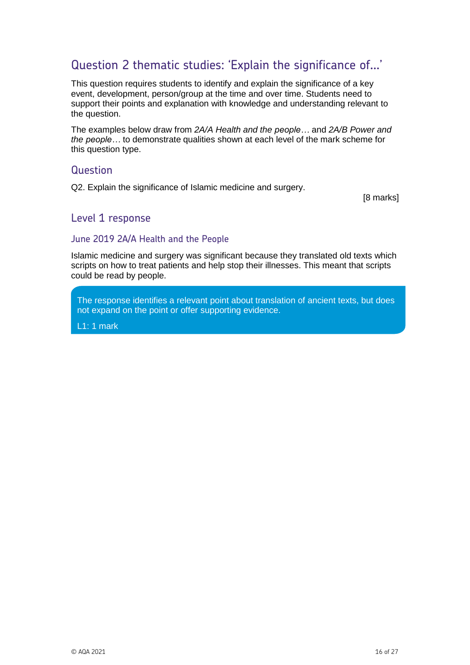# Question 2 thematic studies: 'Explain the significance of…'

This question requires students to identify and explain the significance of a key event, development, person/group at the time and over time. Students need to support their points and explanation with knowledge and understanding relevant to the question.

The examples below draw from *2A/A Health and the people…* and *2A/B Power and the people…* to demonstrate qualities shown at each level of the mark scheme for this question type.

#### **Question**

Q2. Explain the significance of Islamic medicine and surgery.

[8 marks]

#### Level 1 response

#### June 2019 2A/A Health and the People

Islamic medicine and surgery was significant because they translated old texts which scripts on how to treat patients and help stop their illnesses. This meant that scripts could be read by people.

The response identifies a relevant point about translation of ancient texts, but does not expand on the point or offer supporting evidence.

L1: 1 mark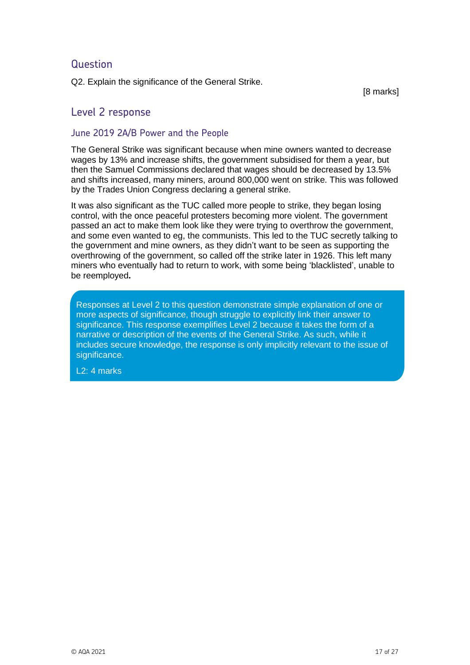Q2. Explain the significance of the General Strike.

[8 marks]

#### Level 2 response

#### June 2019 2A/B Power and the People

The General Strike was significant because when mine owners wanted to decrease wages by 13% and increase shifts, the government subsidised for them a year, but then the Samuel Commissions declared that wages should be decreased by 13.5% and shifts increased, many miners, around 800,000 went on strike. This was followed by the Trades Union Congress declaring a general strike.

It was also significant as the TUC called more people to strike, they began losing control, with the once peaceful protesters becoming more violent. The government passed an act to make them look like they were trying to overthrow the government, and some even wanted to eg, the communists. This led to the TUC secretly talking to the government and mine owners, as they didn't want to be seen as supporting the overthrowing of the government, so called off the strike later in 1926. This left many miners who eventually had to return to work, with some being 'blacklisted', unable to be reemployed**.**

Responses at Level 2 to this question demonstrate simple explanation of one or more aspects of significance, though struggle to explicitly link their answer to significance. This response exemplifies Level 2 because it takes the form of a narrative or description of the events of the General Strike. As such, while it includes secure knowledge, the response is only implicitly relevant to the issue of significance.

L2: 4 marks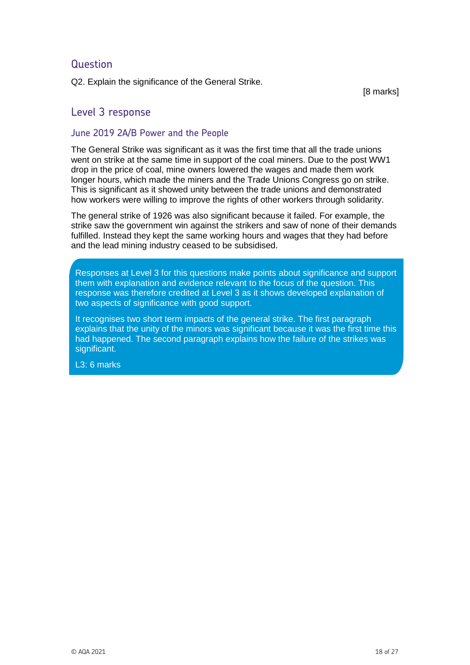Q2. Explain the significance of the General Strike.

[8 marks]

#### Level 3 response

#### June 2019 2A/B Power and the People

The General Strike was significant as it was the first time that all the trade unions went on strike at the same time in support of the coal miners. Due to the post WW1 drop in the price of coal, mine owners lowered the wages and made them work longer hours, which made the miners and the Trade Unions Congress go on strike. This is significant as it showed unity between the trade unions and demonstrated how workers were willing to improve the rights of other workers through solidarity.

The general strike of 1926 was also significant because it failed. For example, the strike saw the government win against the strikers and saw of none of their demands fulfilled. Instead they kept the same working hours and wages that they had before and the lead mining industry ceased to be subsidised.

Responses at Level 3 for this questions make points about significance and support them with explanation and evidence relevant to the focus of the question. This response was therefore credited at Level 3 as it shows developed explanation of two aspects of significance with good support.

It recognises two short term impacts of the general strike. The first paragraph explains that the unity of the minors was significant because it was the first time this had happened. The second paragraph explains how the failure of the strikes was significant.

L3: 6 marks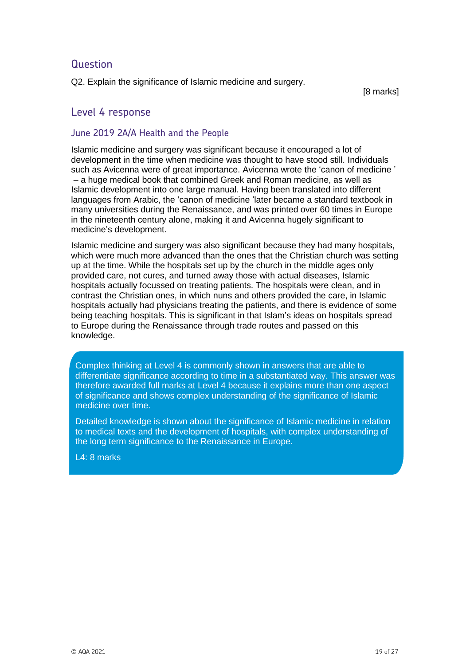Q2. Explain the significance of Islamic medicine and surgery.

[8 marks]

#### Level 4 response

#### June 2019 2A/A Health and the People

Islamic medicine and surgery was significant because it encouraged a lot of development in the time when medicine was thought to have stood still. Individuals such as Avicenna were of great importance. Avicenna wrote the 'canon of medicine ' – a huge medical book that combined Greek and Roman medicine, as well as Islamic development into one large manual. Having been translated into different languages from Arabic, the 'canon of medicine 'later became a standard textbook in many universities during the Renaissance, and was printed over 60 times in Europe in the nineteenth century alone, making it and Avicenna hugely significant to medicine's development.

Islamic medicine and surgery was also significant because they had many hospitals, which were much more advanced than the ones that the Christian church was setting up at the time. While the hospitals set up by the church in the middle ages only provided care, not cures, and turned away those with actual diseases, Islamic hospitals actually focussed on treating patients. The hospitals were clean, and in contrast the Christian ones, in which nuns and others provided the care, in Islamic hospitals actually had physicians treating the patients, and there is evidence of some being teaching hospitals. This is significant in that Islam's ideas on hospitals spread to Europe during the Renaissance through trade routes and passed on this knowledge.

Complex thinking at Level 4 is commonly shown in answers that are able to differentiate significance according to time in a substantiated way. This answer was therefore awarded full marks at Level 4 because it explains more than one aspect of significance and shows complex understanding of the significance of Islamic medicine over time.

Detailed knowledge is shown about the significance of Islamic medicine in relation to medical texts and the development of hospitals, with complex understanding of the long term significance to the Renaissance in Europe.

L4: 8 marks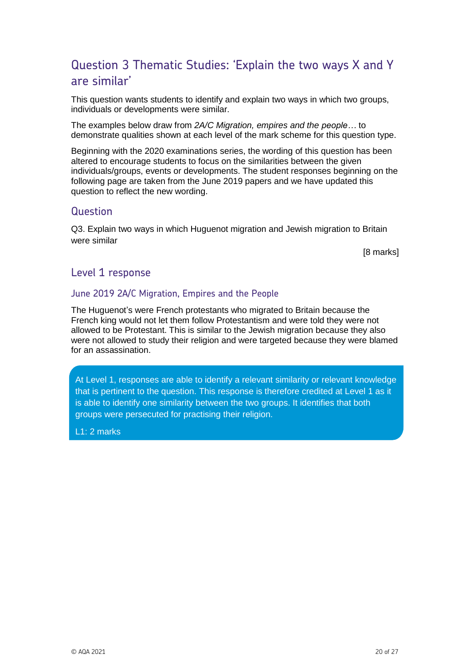# Question 3 Thematic Studies: 'Explain the two ways X and Y are similar'

This question wants students to identify and explain two ways in which two groups, individuals or developments were similar.

The examples below draw from *2A/C Migration, empires and the people…* to demonstrate qualities shown at each level of the mark scheme for this question type.

Beginning with the 2020 examinations series, the wording of this question has been altered to encourage students to focus on the similarities between the given individuals/groups, events or developments. The student responses beginning on the following page are taken from the June 2019 papers and we have updated this question to reflect the new wording.

#### **Question**

Q3. Explain two ways in which Huguenot migration and Jewish migration to Britain were similar

[8 marks]

#### Level 1 response

#### June 2019 2A/C Migration, Empires and the People

The Huguenot's were French protestants who migrated to Britain because the French king would not let them follow Protestantism and were told they were not allowed to be Protestant. This is similar to the Jewish migration because they also were not allowed to study their religion and were targeted because they were blamed for an assassination.

At Level 1, responses are able to identify a relevant similarity or relevant knowledge that is pertinent to the question. This response is therefore credited at Level 1 as it is able to identify one similarity between the two groups. It identifies that both groups were persecuted for practising their religion.

L1: 2 marks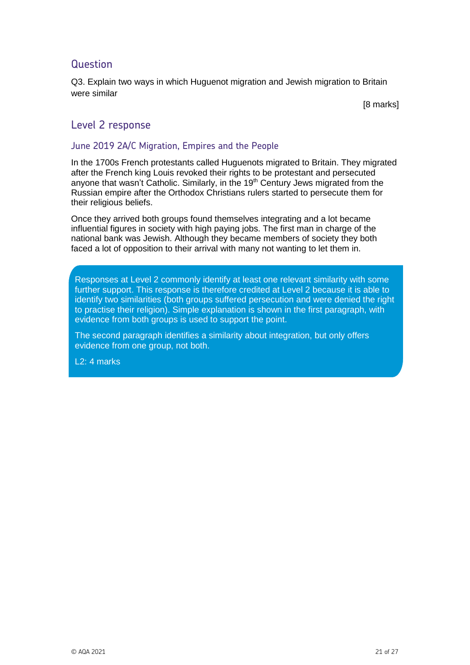Q3. Explain two ways in which Huguenot migration and Jewish migration to Britain were similar

[8 marks]

#### Level 2 response

#### June 2019 2A/C Migration, Empires and the People

In the 1700s French protestants called Huguenots migrated to Britain. They migrated after the French king Louis revoked their rights to be protestant and persecuted anyone that wasn't Catholic. Similarly, in the 19<sup>th</sup> Century Jews migrated from the Russian empire after the Orthodox Christians rulers started to persecute them for their religious beliefs.

Once they arrived both groups found themselves integrating and a lot became influential figures in society with high paying jobs. The first man in charge of the national bank was Jewish. Although they became members of society they both faced a lot of opposition to their arrival with many not wanting to let them in.

Responses at Level 2 commonly identify at least one relevant similarity with some further support. This response is therefore credited at Level 2 because it is able to identify two similarities (both groups suffered persecution and were denied the right to practise their religion). Simple explanation is shown in the first paragraph, with evidence from both groups is used to support the point.

The second paragraph identifies a similarity about integration, but only offers evidence from one group, not both.

L2: 4 marks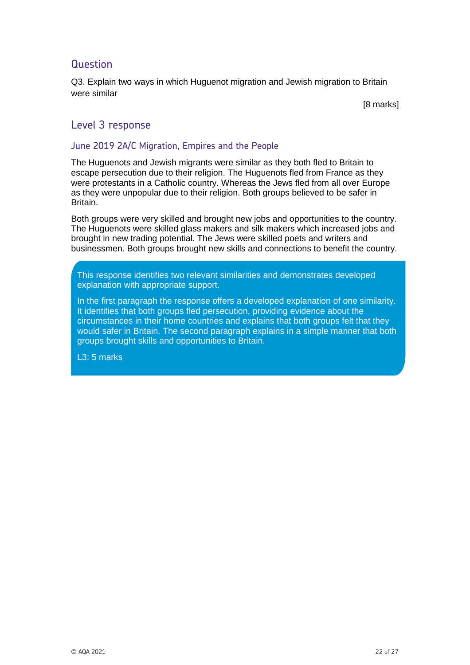Q3. Explain two ways in which Huguenot migration and Jewish migration to Britain were similar

[8 marks]

#### Level 3 response

#### June 2019 2A/C Migration, Empires and the People

The Huguenots and Jewish migrants were similar as they both fled to Britain to escape persecution due to their religion. The Huguenots fled from France as they were protestants in a Catholic country. Whereas the Jews fled from all over Europe as they were unpopular due to their religion. Both groups believed to be safer in Britain.

Both groups were very skilled and brought new jobs and opportunities to the country. The Huguenots were skilled glass makers and silk makers which increased jobs and brought in new trading potential. The Jews were skilled poets and writers and businessmen. Both groups brought new skills and connections to benefit the country.

This response identifies two relevant similarities and demonstrates developed explanation with appropriate support.

In the first paragraph the response offers a developed explanation of one similarity. It identifies that both groups fled persecution, providing evidence about the circumstances in their home countries and explains that both groups felt that they would safer in Britain. The second paragraph explains in a simple manner that both groups brought skills and opportunities to Britain.

L3: 5 marks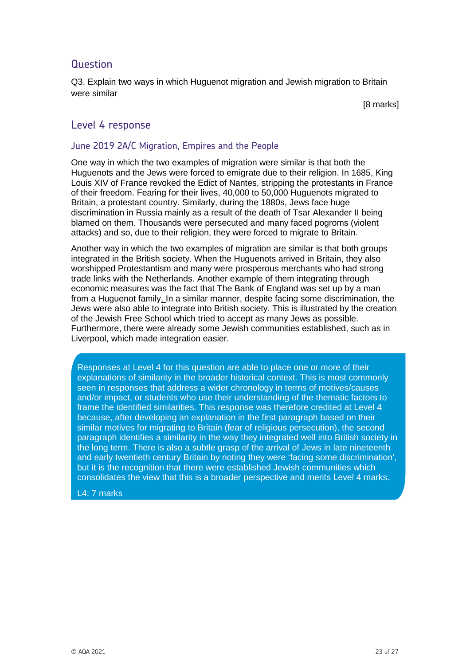Q3. Explain two ways in which Huguenot migration and Jewish migration to Britain were similar

[8 marks]

#### Level 4 response

#### June 2019 2A/C Migration, Empires and the People

One way in which the two examples of migration were similar is that both the Huguenots and the Jews were forced to emigrate due to their religion. In 1685, King Louis XIV of France revoked the Edict of Nantes, stripping the protestants in France of their freedom. Fearing for their lives, 40,000 to 50,000 Huguenots migrated to Britain, a protestant country. Similarly, during the 1880s, Jews face huge discrimination in Russia mainly as a result of the death of Tsar Alexander II being blamed on them. Thousands were persecuted and many faced pogroms (violent attacks) and so, due to their religion, they were forced to migrate to Britain.

Another way in which the two examples of migration are similar is that both groups integrated in the British society. When the Huguenots arrived in Britain, they also worshipped Protestantism and many were prosperous merchants who had strong trade links with the Netherlands. Another example of them integrating through economic measures was the fact that The Bank of England was set up by a man from a Huguenot family. In a similar manner, despite facing some discrimination, the Jews were also able to integrate into British society. This is illustrated by the creation of the Jewish Free School which tried to accept as many Jews as possible. Furthermore, there were already some Jewish communities established, such as in Liverpool, which made integration easier.

Responses at Level 4 for this question are able to place one or more of their explanations of similarity in the broader historical context. This is most commonly seen in responses that address a wider chronology in terms of motives/causes and/or impact, or students who use their understanding of the thematic factors to frame the identified similarities. This response was therefore credited at Level 4 because, after developing an explanation in the first paragraph based on their similar motives for migrating to Britain (fear of religious persecution), the second paragraph identifies a similarity in the way they integrated well into British society in the long term. There is also a subtle grasp of the arrival of Jews in late nineteenth and early twentieth century Britain by noting they were 'facing some discrimination', but it is the recognition that there were established Jewish communities which consolidates the view that this is a broader perspective and merits Level 4 marks.

L4: 7 marks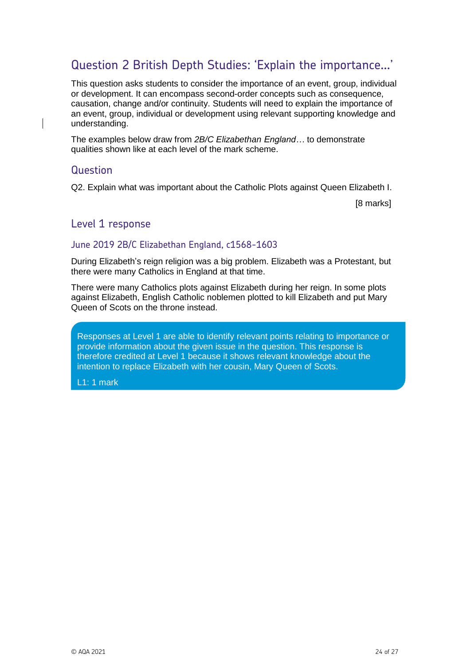# Question 2 British Depth Studies: 'Explain the importance…'

This question asks students to consider the importance of an event, group, individual or development. It can encompass second-order concepts such as consequence, causation, change and/or continuity. Students will need to explain the importance of an event, group, individual or development using relevant supporting knowledge and understanding.

The examples below draw from *2B/C Elizabethan England…* to demonstrate qualities shown like at each level of the mark scheme.

#### **Question**

Q2. Explain what was important about the Catholic Plots against Queen Elizabeth I.

[8 marks]

#### Level 1 response

#### June 2019 2B/C Elizabethan England, c1568-1603

During Elizabeth's reign religion was a big problem. Elizabeth was a Protestant, but there were many Catholics in England at that time.

There were many Catholics plots against Elizabeth during her reign. In some plots against Elizabeth, English Catholic noblemen plotted to kill Elizabeth and put Mary Queen of Scots on the throne instead.

Responses at Level 1 are able to identify relevant points relating to importance or provide information about the given issue in the question. This response is therefore credited at Level 1 because it shows relevant knowledge about the intention to replace Elizabeth with her cousin, Mary Queen of Scots.

L1: 1 mark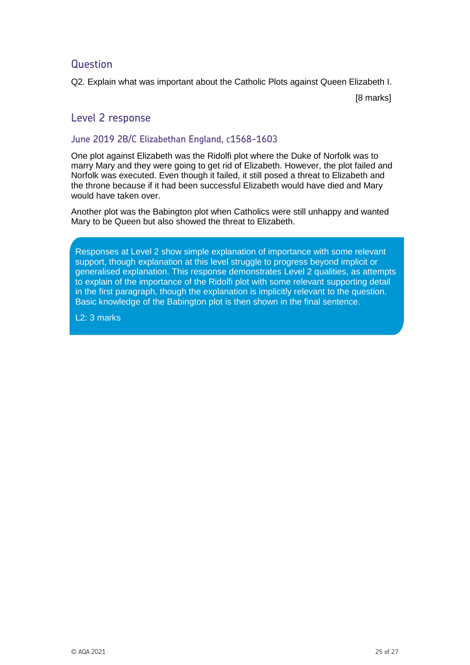Q2. Explain what was important about the Catholic Plots against Queen Elizabeth I.

[8 marks]

### Level 2 response

#### June 2019 2B/C Elizabethan England, c1568-1603

One plot against Elizabeth was the Ridolfi plot where the Duke of Norfolk was to marry Mary and they were going to get rid of Elizabeth. However, the plot failed and Norfolk was executed. Even though it failed, it still posed a threat to Elizabeth and the throne because if it had been successful Elizabeth would have died and Mary would have taken over.

Another plot was the Babington plot when Catholics were still unhappy and wanted Mary to be Queen but also showed the threat to Elizabeth.

Responses at Level 2 show simple explanation of importance with some relevant support, though explanation at this level struggle to progress beyond implicit or generalised explanation. This response demonstrates Level 2 qualities, as attempts to explain of the importance of the Ridolfi plot with some relevant supporting detail in the first paragraph, though the explanation is implicitly relevant to the question. Basic knowledge of the Babington plot is then shown in the final sentence.

L2: 3 marks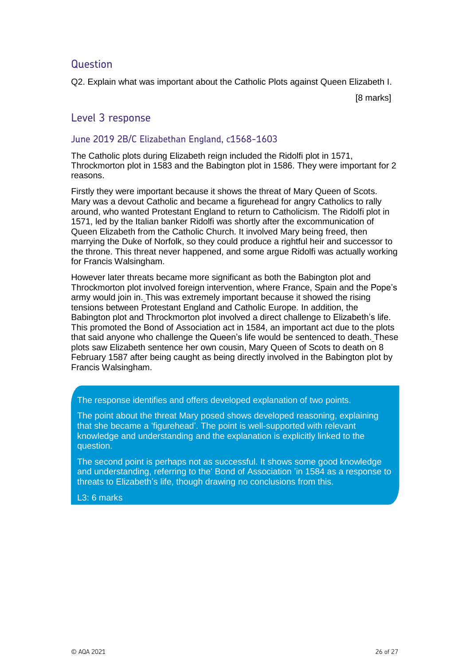Q2. Explain what was important about the Catholic Plots against Queen Elizabeth I.

[8 marks]

### Level 3 response

#### June 2019 2B/C Elizabethan England, c1568-1603

The Catholic plots during Elizabeth reign included the Ridolfi plot in 1571, Throckmorton plot in 1583 and the Babington plot in 1586. They were important for 2 reasons.

Firstly they were important because it shows the threat of Mary Queen of Scots. Mary was a devout Catholic and became a figurehead for angry Catholics to rally around, who wanted Protestant England to return to Catholicism. The Ridolfi plot in 1571, led by the Italian banker Ridolfi was shortly after the excommunication of Queen Elizabeth from the Catholic Church. It involved Mary being freed, then marrying the Duke of Norfolk, so they could produce a rightful heir and successor to the throne. This threat never happened, and some argue Ridolfi was actually working for Francis Walsingham.

However later threats became more significant as both the Babington plot and Throckmorton plot involved foreign intervention, where France, Spain and the Pope's army would join in. This was extremely important because it showed the rising tensions between Protestant England and Catholic Europe. In addition, the Babington plot and Throckmorton plot involved a direct challenge to Elizabeth's life. This promoted the Bond of Association act in 1584, an important act due to the plots that said anyone who challenge the Queen's life would be sentenced to death. These plots saw Elizabeth sentence her own cousin, Mary Queen of Scots to death on 8 February 1587 after being caught as being directly involved in the Babington plot by Francis Walsingham.

The response identifies and offers developed explanation of two points.

The point about the threat Mary posed shows developed reasoning, explaining that she became a 'figurehead'. The point is well-supported with relevant knowledge and understanding and the explanation is explicitly linked to the question.

The second point is perhaps not as successful. It shows some good knowledge and understanding, referring to the' Bond of Association 'in 1584 as a response to threats to Elizabeth's life, though drawing no conclusions from this.

L3: 6 marks